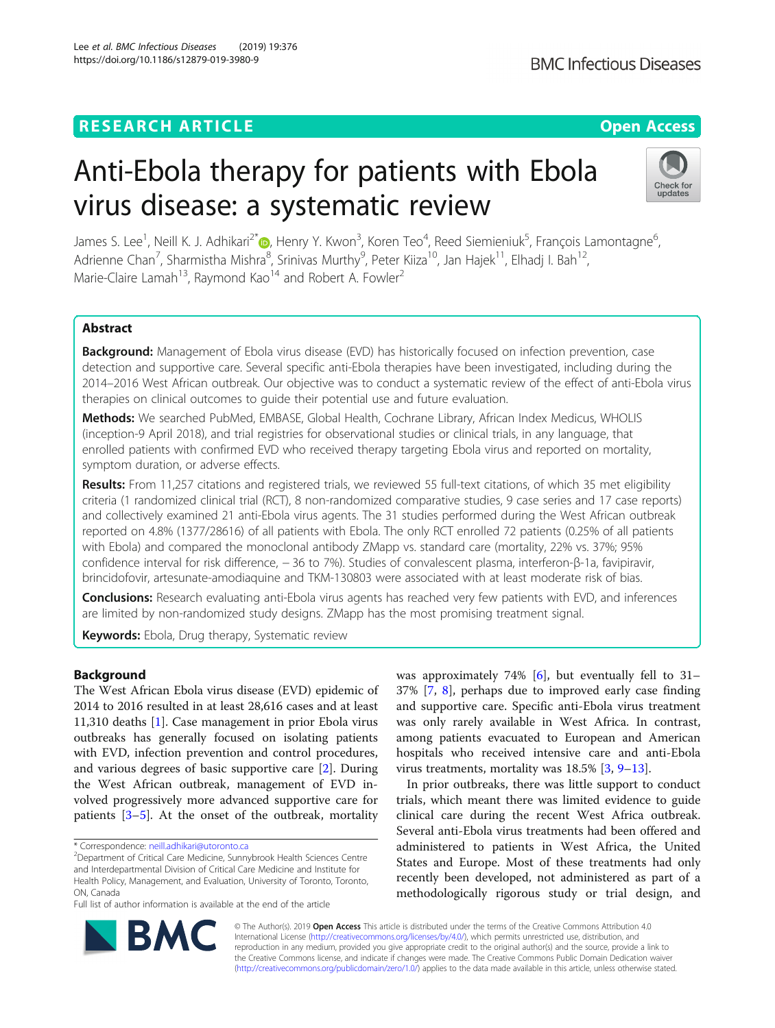# **RESEARCH ARTICLE Example 2014 12:30 The Open Access**

# Anti-Ebola therapy for patients with Ebola virus disease: a systematic review

James S. Lee<sup>1</sup>[,](http://orcid.org/0000-0003-4038-5382) Neill K. J. Adhikari<sup>2\*</sup>iD, Henry Y. Kwon<sup>3</sup>, Koren Teo<sup>4</sup>, Reed Siemieniuk<sup>5</sup>, François Lamontagne<sup>6</sup> .<br>, Adrienne Chan<sup>7</sup>, Sharmistha Mishra<sup>8</sup>, Srinivas Murthy<sup>9</sup>, Peter Kiiza<sup>10</sup>, Jan Hajek<sup>11</sup>, Elhadj I. Bah<sup>12</sup>, Marie-Claire Lamah<sup>13</sup>, Raymond Kao<sup>14</sup> and Robert A. Fowler<sup>2</sup>

# Abstract

**Background:** Management of Ebola virus disease (EVD) has historically focused on infection prevention, case detection and supportive care. Several specific anti-Ebola therapies have been investigated, including during the 2014–2016 West African outbreak. Our objective was to conduct a systematic review of the effect of anti-Ebola virus therapies on clinical outcomes to guide their potential use and future evaluation.

Methods: We searched PubMed, EMBASE, Global Health, Cochrane Library, African Index Medicus, WHOLIS (inception-9 April 2018), and trial registries for observational studies or clinical trials, in any language, that enrolled patients with confirmed EVD who received therapy targeting Ebola virus and reported on mortality, symptom duration, or adverse effects.

Results: From 11,257 citations and registered trials, we reviewed 55 full-text citations, of which 35 met eligibility criteria (1 randomized clinical trial (RCT), 8 non-randomized comparative studies, 9 case series and 17 case reports) and collectively examined 21 anti-Ebola virus agents. The 31 studies performed during the West African outbreak reported on 4.8% (1377/28616) of all patients with Ebola. The only RCT enrolled 72 patients (0.25% of all patients with Ebola) and compared the monoclonal antibody ZMapp vs. standard care (mortality, 22% vs. 37%; 95% confidence interval for risk difference, - 36 to 7%). Studies of convalescent plasma, interferon-β-1a, favipiravir, brincidofovir, artesunate-amodiaquine and TKM-130803 were associated with at least moderate risk of bias.

**Conclusions:** Research evaluating anti-Ebola virus agents has reached very few patients with EVD, and inferences are limited by non-randomized study designs. ZMapp has the most promising treatment signal.

Keywords: Ebola, Drug therapy, Systematic review

# Background

The West African Ebola virus disease (EVD) epidemic of 2014 to 2016 resulted in at least 28,616 cases and at least 11,310 deaths [\[1\]](#page-9-0). Case management in prior Ebola virus outbreaks has generally focused on isolating patients with EVD, infection prevention and control procedures, and various degrees of basic supportive care [[2\]](#page-9-0). During the West African outbreak, management of EVD involved progressively more advanced supportive care for patients [[3](#page-9-0)–[5](#page-9-0)]. At the onset of the outbreak, mortality

\* Correspondence: [neill.adhikari@utoronto.ca](mailto:neill.adhikari@utoronto.ca) <sup>2</sup>

<sup>2</sup>Department of Critical Care Medicine, Sunnybrook Health Sciences Centre and Interdepartmental Division of Critical Care Medicine and Institute for Health Policy, Management, and Evaluation, University of Toronto, Toronto, ON, Canada

Full list of author information is available at the end of the article

was approximately 74% [[6](#page-9-0)], but eventually fell to 31– 37% [[7,](#page-9-0) [8\]](#page-9-0), perhaps due to improved early case finding and supportive care. Specific anti-Ebola virus treatment was only rarely available in West Africa. In contrast, among patients evacuated to European and American hospitals who received intensive care and anti-Ebola virus treatments, mortality was 18.5% [[3,](#page-9-0) [9](#page-9-0)–[13](#page-9-0)].

In prior outbreaks, there was little support to conduct trials, which meant there was limited evidence to guide clinical care during the recent West Africa outbreak. Several anti-Ebola virus treatments had been offered and administered to patients in West Africa, the United States and Europe. Most of these treatments had only recently been developed, not administered as part of a methodologically rigorous study or trial design, and

© The Author(s). 2019 Open Access This article is distributed under the terms of the Creative Commons Attribution 4.0 International License [\(http://creativecommons.org/licenses/by/4.0/](http://creativecommons.org/licenses/by/4.0/)), which permits unrestricted use, distribution, and reproduction in any medium, provided you give appropriate credit to the original author(s) and the source, provide a link to the Creative Commons license, and indicate if changes were made. The Creative Commons Public Domain Dedication waiver [\(http://creativecommons.org/publicdomain/zero/1.0/](http://creativecommons.org/publicdomain/zero/1.0/)) applies to the data made available in this article, unless otherwise stated.







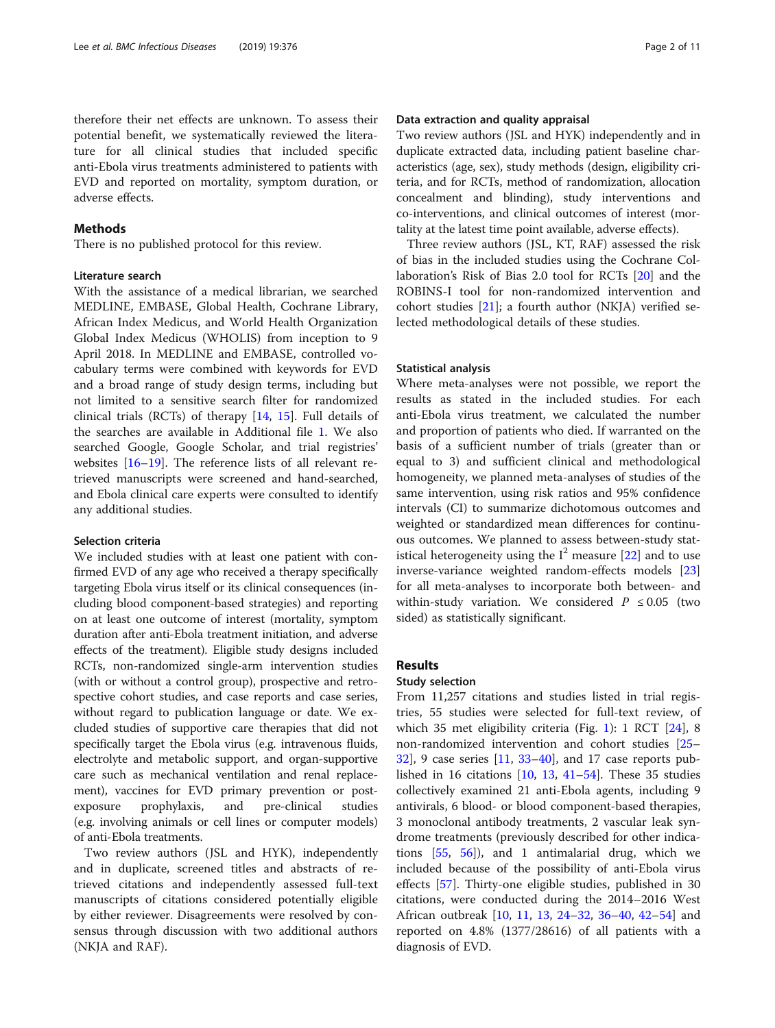therefore their net effects are unknown. To assess their potential benefit, we systematically reviewed the literature for all clinical studies that included specific anti-Ebola virus treatments administered to patients with EVD and reported on mortality, symptom duration, or adverse effects.

## Methods

There is no published protocol for this review.

# Literature search

With the assistance of a medical librarian, we searched MEDLINE, EMBASE, Global Health, Cochrane Library, African Index Medicus, and World Health Organization Global Index Medicus (WHOLIS) from inception to 9 April 2018. In MEDLINE and EMBASE, controlled vocabulary terms were combined with keywords for EVD and a broad range of study design terms, including but not limited to a sensitive search filter for randomized clinical trials (RCTs) of therapy [\[14,](#page-9-0) [15](#page-9-0)]. Full details of the searches are available in Additional file [1.](#page-8-0) We also searched Google, Google Scholar, and trial registries' websites [\[16](#page-9-0)–[19\]](#page-9-0). The reference lists of all relevant retrieved manuscripts were screened and hand-searched, and Ebola clinical care experts were consulted to identify any additional studies.

#### Selection criteria

We included studies with at least one patient with confirmed EVD of any age who received a therapy specifically targeting Ebola virus itself or its clinical consequences (including blood component-based strategies) and reporting on at least one outcome of interest (mortality, symptom duration after anti-Ebola treatment initiation, and adverse effects of the treatment). Eligible study designs included RCTs, non-randomized single-arm intervention studies (with or without a control group), prospective and retrospective cohort studies, and case reports and case series, without regard to publication language or date. We excluded studies of supportive care therapies that did not specifically target the Ebola virus (e.g. intravenous fluids, electrolyte and metabolic support, and organ-supportive care such as mechanical ventilation and renal replacement), vaccines for EVD primary prevention or postexposure prophylaxis, and pre-clinical studies (e.g. involving animals or cell lines or computer models) of anti-Ebola treatments.

Two review authors (JSL and HYK), independently and in duplicate, screened titles and abstracts of retrieved citations and independently assessed full-text manuscripts of citations considered potentially eligible by either reviewer. Disagreements were resolved by consensus through discussion with two additional authors (NKJA and RAF).

# Data extraction and quality appraisal

Two review authors (JSL and HYK) independently and in duplicate extracted data, including patient baseline characteristics (age, sex), study methods (design, eligibility criteria, and for RCTs, method of randomization, allocation concealment and blinding), study interventions and co-interventions, and clinical outcomes of interest (mortality at the latest time point available, adverse effects).

Three review authors (JSL, KT, RAF) assessed the risk of bias in the included studies using the Cochrane Collaboration's Risk of Bias 2.0 tool for RCTs [[20\]](#page-9-0) and the ROBINS-I tool for non-randomized intervention and cohort studies [[21\]](#page-9-0); a fourth author (NKJA) verified selected methodological details of these studies.

# Statistical analysis

Where meta-analyses were not possible, we report the results as stated in the included studies. For each anti-Ebola virus treatment, we calculated the number and proportion of patients who died. If warranted on the basis of a sufficient number of trials (greater than or equal to 3) and sufficient clinical and methodological homogeneity, we planned meta-analyses of studies of the same intervention, using risk ratios and 95% confidence intervals (CI) to summarize dichotomous outcomes and weighted or standardized mean differences for continuous outcomes. We planned to assess between-study statistical heterogeneity using the  $I^2$  measure [[22\]](#page-9-0) and to use inverse-variance weighted random-effects models [[23](#page-9-0)] for all meta-analyses to incorporate both between- and within-study variation. We considered  $P \leq 0.05$  (two sided) as statistically significant.

# Results

#### Study selection

From 11,257 citations and studies listed in trial registries, 55 studies were selected for full-text review, of which 35 met eligibility criteria (Fig. [1\)](#page-2-0): 1 RCT [\[24](#page-9-0)], 8 non-randomized intervention and cohort studies [[25](#page-9-0)– [32\]](#page-9-0), 9 case series [[11,](#page-9-0) [33](#page-9-0)–[40](#page-9-0)], and 17 case reports published in 16 citations [[10](#page-9-0), [13,](#page-9-0) [41](#page-10-0)–[54](#page-10-0)]. These 35 studies collectively examined 21 anti-Ebola agents, including 9 antivirals, 6 blood- or blood component-based therapies, 3 monoclonal antibody treatments, 2 vascular leak syndrome treatments (previously described for other indications [[55,](#page-10-0) [56\]](#page-10-0)), and 1 antimalarial drug, which we included because of the possibility of anti-Ebola virus effects [\[57\]](#page-10-0). Thirty-one eligible studies, published in 30 citations, were conducted during the 2014–2016 West African outbreak [\[10](#page-9-0), [11,](#page-9-0) [13,](#page-9-0) [24](#page-9-0)–[32,](#page-9-0) [36](#page-9-0)–[40](#page-9-0), [42](#page-10-0)–[54\]](#page-10-0) and reported on 4.8% (1377/28616) of all patients with a diagnosis of EVD.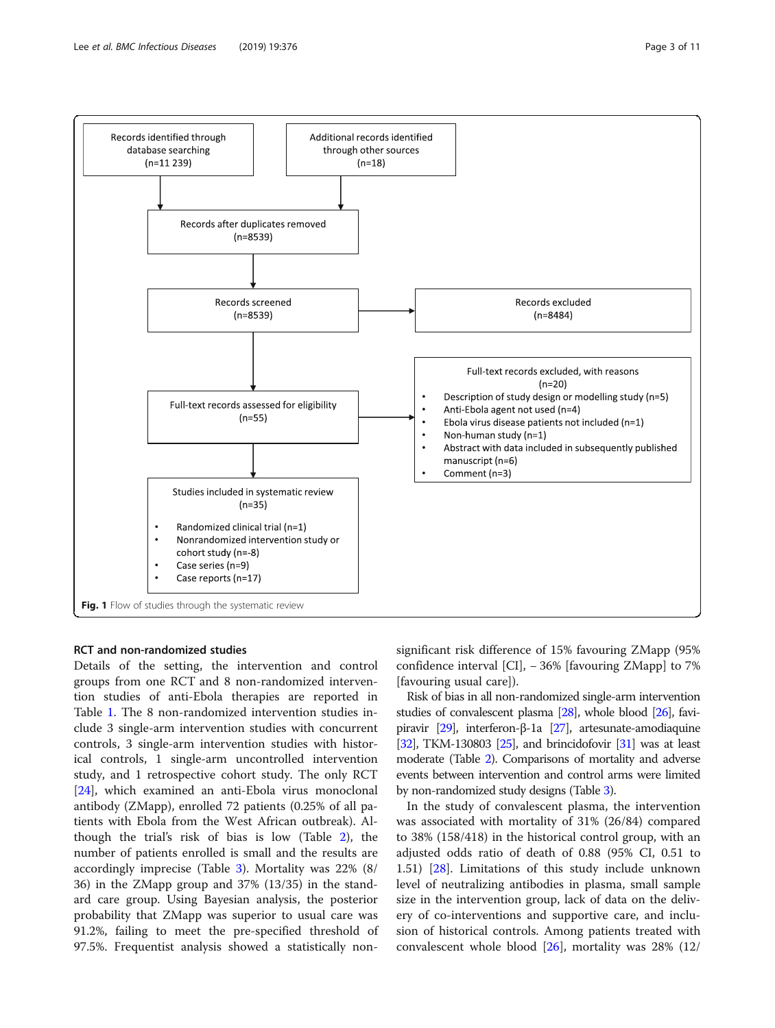

<span id="page-2-0"></span>

# RCT and non-randomized studies

Details of the setting, the intervention and control groups from one RCT and 8 non-randomized intervention studies of anti-Ebola therapies are reported in Table [1](#page-3-0). The 8 non-randomized intervention studies include 3 single-arm intervention studies with concurrent controls, 3 single-arm intervention studies with historical controls, 1 single-arm uncontrolled intervention study, and 1 retrospective cohort study. The only RCT [[24\]](#page-9-0), which examined an anti-Ebola virus monoclonal antibody (ZMapp), enrolled 72 patients (0.25% of all patients with Ebola from the West African outbreak). Although the trial's risk of bias is low (Table [2](#page-4-0)), the number of patients enrolled is small and the results are accordingly imprecise (Table [3](#page-5-0)). Mortality was 22% (8/ 36) in the ZMapp group and 37% (13/35) in the standard care group. Using Bayesian analysis, the posterior probability that ZMapp was superior to usual care was 91.2%, failing to meet the pre-specified threshold of 97.5%. Frequentist analysis showed a statistically nonsignificant risk difference of 15% favouring ZMapp (95% confidence interval [CI], − 36% [favouring ZMapp] to 7% [favouring usual care]).

Risk of bias in all non-randomized single-arm intervention studies of convalescent plasma [[28](#page-9-0)], whole blood [\[26](#page-9-0)], favipiravir [\[29\]](#page-9-0), interferon-β-1a [\[27\]](#page-9-0), artesunate-amodiaquine [ $32$ ], TKM-130803 [ $25$ ], and brincidofovir [ $31$ ] was at least moderate (Table [2\)](#page-4-0). Comparisons of mortality and adverse events between intervention and control arms were limited by non-randomized study designs (Table [3\)](#page-5-0).

In the study of convalescent plasma, the intervention was associated with mortality of 31% (26/84) compared to 38% (158/418) in the historical control group, with an adjusted odds ratio of death of 0.88 (95% CI, 0.51 to 1.51) [\[28\]](#page-9-0). Limitations of this study include unknown level of neutralizing antibodies in plasma, small sample size in the intervention group, lack of data on the delivery of co-interventions and supportive care, and inclusion of historical controls. Among patients treated with convalescent whole blood  $[26]$  $[26]$ , mortality was 28%  $(12)$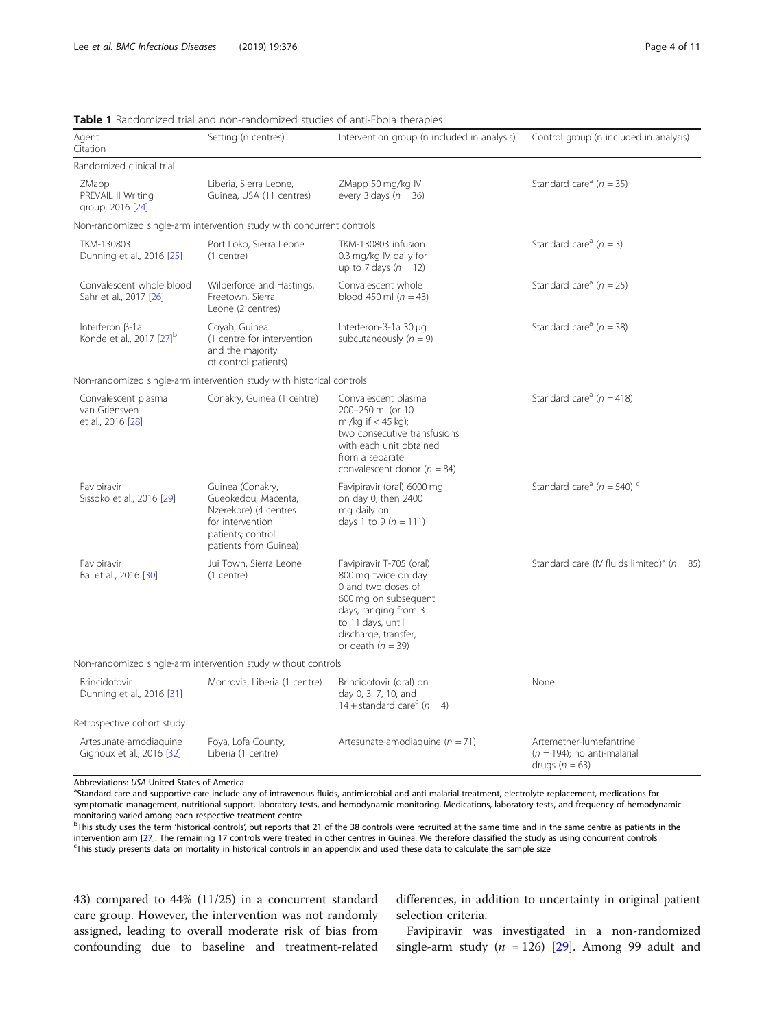| Agent<br>Citation                                              | Setting (n centres)                                                                                                                | Intervention group (n included in analysis)                                                                                                                                               | Control group (n included in analysis)                                          |
|----------------------------------------------------------------|------------------------------------------------------------------------------------------------------------------------------------|-------------------------------------------------------------------------------------------------------------------------------------------------------------------------------------------|---------------------------------------------------------------------------------|
| Randomized clinical trial                                      |                                                                                                                                    |                                                                                                                                                                                           |                                                                                 |
| ZMapp<br>PREVAIL II Writing<br>group, 2016 [24]                | Liberia, Sierra Leone,<br>Guinea, USA (11 centres)                                                                                 | ZMapp 50 mg/kg IV<br>every 3 days $(n = 36)$                                                                                                                                              | Standard care <sup>a</sup> ( $n = 35$ )                                         |
|                                                                | Non-randomized single-arm intervention study with concurrent controls                                                              |                                                                                                                                                                                           |                                                                                 |
| TKM-130803<br>Dunning et al., 2016 [25]                        | Port Loko, Sierra Leone<br>(1 centre)                                                                                              | TKM-130803 infusion<br>0.3 mg/kg IV daily for<br>up to 7 days $(n = 12)$                                                                                                                  | Standard care <sup>a</sup> ( $n = 3$ )                                          |
| Convalescent whole blood<br>Sahr et al., 2017 [26]             | Wilberforce and Hastings,<br>Freetown, Sierra<br>Leone (2 centres)                                                                 | Convalescent whole<br>blood 450 ml $(n = 43)$                                                                                                                                             | Standard care <sup>a</sup> ( $n = 25$ )                                         |
| Interferon $\beta$ -1a<br>Konde et al., 2017 [27] <sup>b</sup> | Coyah, Guinea<br>(1 centre for intervention<br>and the majority<br>of control patients)                                            | Interferon-β-1a 30 μg<br>subcutaneously $(n = 9)$                                                                                                                                         | Standard care <sup>a</sup> ( $n = 38$ )                                         |
|                                                                | Non-randomized single-arm intervention study with historical controls                                                              |                                                                                                                                                                                           |                                                                                 |
| Convalescent plasma<br>van Griensven<br>et al., 2016 [28]      | Conakry, Guinea (1 centre)                                                                                                         | Convalescent plasma<br>200-250 ml (or 10<br>ml/kg if $<$ 45 kg);<br>two consecutive transfusions<br>with each unit obtained<br>from a separate<br>convalescent donor ( $n = 84$ )         | Standard care <sup>a</sup> ( $n = 418$ )                                        |
| Favipiravir<br>Sissoko et al., 2016 [29]                       | Guinea (Conakry,<br>Gueokedou, Macenta,<br>Nzerekore) (4 centres<br>for intervention<br>patients; control<br>patients from Guinea) | Favipiravir (oral) 6000 mg<br>on day 0, then 2400<br>mg daily on<br>days 1 to 9 ( $n = 111$ )                                                                                             | Standard care <sup>a</sup> ( $n = 540$ ) <sup>c</sup>                           |
| Favipiravir<br>Bai et al., 2016 [30]                           | Jui Town, Sierra Leone<br>(1 centre)                                                                                               | Favipiravir T-705 (oral)<br>800 mg twice on day<br>0 and two doses of<br>600 mg on subsequent<br>days, ranging from 3<br>to 11 days, until<br>discharge, transfer,<br>or death $(n = 39)$ | Standard care (IV fluids limited) <sup>a</sup> ( $n = 85$ )                     |
|                                                                | Non-randomized single-arm intervention study without controls                                                                      |                                                                                                                                                                                           |                                                                                 |
| Brincidofovir<br>Dunning et al., 2016 [31]                     | Monrovia, Liberia (1 centre)                                                                                                       | Brincidofovir (oral) on<br>day 0, 3, 7, 10, and<br>14 + standard care <sup>a</sup> ( $n = 4$ )                                                                                            | None                                                                            |
| Retrospective cohort study                                     |                                                                                                                                    |                                                                                                                                                                                           |                                                                                 |
| Artesunate-amodiaguine<br>Gignoux et al., 2016 [32]            | Foya, Lofa County,<br>Liberia (1 centre)                                                                                           | Artesunate-amodiaguine ( $n = 71$ )                                                                                                                                                       | Artemether-lumefantrine<br>$(n = 194)$ ; no anti-malarial<br>drugs ( $n = 63$ ) |

# <span id="page-3-0"></span>Table 1 Randomized trial and non-randomized studies of anti-Ebola therapies

Abbreviations: USA United States of America

<sup>a</sup>Standard care and supportive care include any of intravenous fluids, antimicrobial and anti-malarial treatment, electrolyte replacement, medications for symptomatic management, nutritional support, laboratory tests, and hemodynamic monitoring. Medications, laboratory tests, and frequency of hemodynamic monitoring varied among each respective treatment centre

<sup>b</sup>This study uses the term 'historical controls', but reports that 21 of the 38 controls were recruited at the same time and in the same centre as patients in the intervention arm [\[27](#page-9-0)]. The remaining 17 controls were treated in other centres in Guinea. We therefore classified the study as using concurrent controls <sup>c</sup> This study presents data on mortality in historical controls in an appendix and used these data to calculate the sample size

43) compared to 44% (11/25) in a concurrent standard care group. However, the intervention was not randomly assigned, leading to overall moderate risk of bias from confounding due to baseline and treatment-related

differences, in addition to uncertainty in original patient selection criteria.

Favipiravir was investigated in a non-randomized single-arm study ( $n = 126$ ) [\[29](#page-9-0)]. Among 99 adult and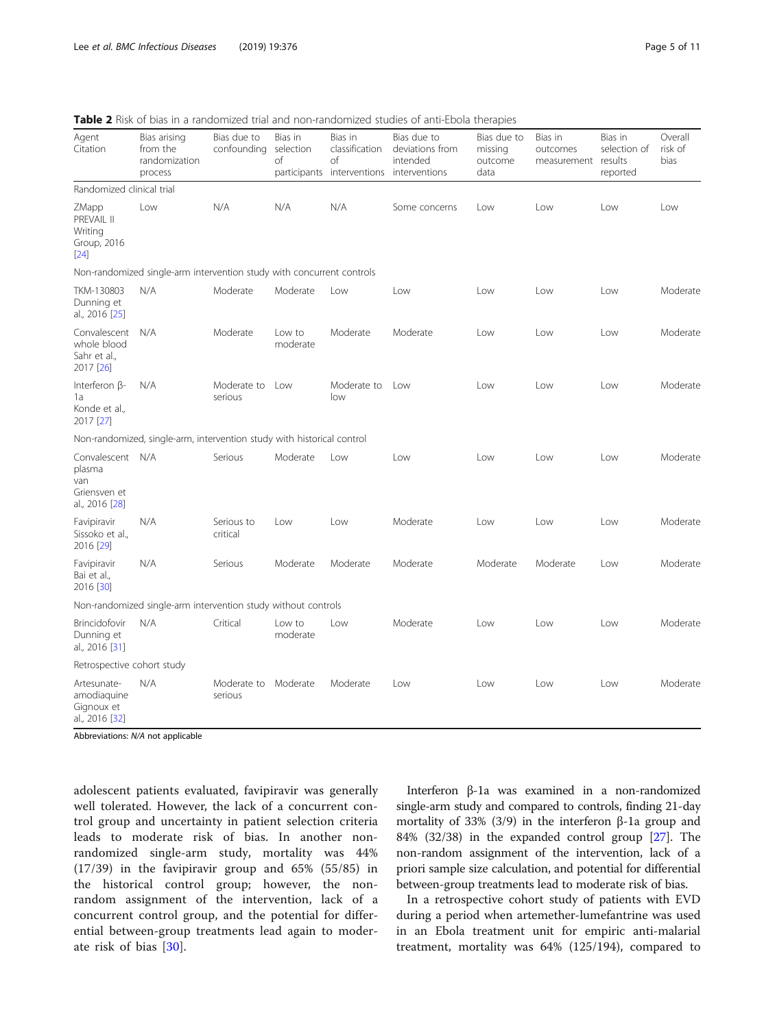<span id="page-4-0"></span>Table 2 Risk of bias in a randomized trial and non-randomized studies of anti-Ebola therapies

| Agent<br>Citation                                                   | Bias arising<br>from the<br>randomization<br>process                   | Bias due to<br>confounding | Bias in<br>selection<br>of<br>participants | Bias in<br>classification<br>of<br>interventions interventions | Bias due to<br>deviations from<br>intended | Bias due to<br>missing<br>outcome<br>data | Bias in<br>outcomes<br>measurement | Bias in<br>selection of<br>results<br>reported | Overall<br>risk of<br>bias |
|---------------------------------------------------------------------|------------------------------------------------------------------------|----------------------------|--------------------------------------------|----------------------------------------------------------------|--------------------------------------------|-------------------------------------------|------------------------------------|------------------------------------------------|----------------------------|
| Randomized clinical trial                                           |                                                                        |                            |                                            |                                                                |                                            |                                           |                                    |                                                |                            |
| ZMapp<br>PREVAIL II<br>Writing<br>Group, 2016<br>[24]               | Low                                                                    | N/A                        | N/A                                        | N/A                                                            | Some concerns                              | Low                                       | Low                                | Low                                            | Low                        |
|                                                                     | Non-randomized single-arm intervention study with concurrent controls  |                            |                                            |                                                                |                                            |                                           |                                    |                                                |                            |
| TKM-130803<br>Dunning et<br>al., 2016 [25]                          | N/A                                                                    | Moderate                   | Moderate                                   | Low                                                            | Low                                        | Low                                       | Low                                | Low                                            | Moderate                   |
| Convalescent<br>whole blood<br>Sahr et al.,<br>2017 [26]            | N/A                                                                    | Moderate                   | Low to<br>moderate                         | Moderate                                                       | Moderate                                   | Low                                       | Low                                | Low                                            | Moderate                   |
| Interferon $\beta$ -<br>1a<br>Konde et al.,<br>2017 [27]            | N/A                                                                    | Moderate to<br>serious     | Low                                        | Moderate to<br>low                                             | Low                                        | Low                                       | Low                                | Low                                            | Moderate                   |
|                                                                     | Non-randomized, single-arm, intervention study with historical control |                            |                                            |                                                                |                                            |                                           |                                    |                                                |                            |
| Convalescent N/A<br>plasma<br>van<br>Griensven et<br>al., 2016 [28] |                                                                        | Serious                    | Moderate                                   | Low                                                            | Low                                        | Low                                       | Low                                | Low                                            | Moderate                   |
| Favipiravir<br>Sissoko et al.,<br>2016 [29]                         | N/A                                                                    | Serious to<br>critical     | Low                                        | Low                                                            | Moderate                                   | Low                                       | Low                                | Low                                            | Moderate                   |
| Favipiravir<br>Bai et al.,<br>2016 [30]                             | N/A                                                                    | Serious                    | Moderate                                   | Moderate                                                       | Moderate                                   | Moderate                                  | Moderate                           | Low                                            | Moderate                   |
| Non-randomized single-arm intervention study without controls       |                                                                        |                            |                                            |                                                                |                                            |                                           |                                    |                                                |                            |
| Brincidofovir<br>Dunning et<br>al., 2016 [31]                       | N/A                                                                    | Critical                   | Low to<br>moderate                         | Low                                                            | Moderate                                   | Low                                       | Low                                | l ow                                           | Moderate                   |
| Retrospective cohort study                                          |                                                                        |                            |                                            |                                                                |                                            |                                           |                                    |                                                |                            |
| Artesunate-<br>amodiaquine<br>Gignoux et<br>al., 2016 [32]          | N/A                                                                    | Moderate to<br>serious     | Moderate                                   | Moderate                                                       | Low                                        | Low                                       | Low                                | l ow                                           | Moderate                   |

Abbreviations: N/A not applicable

adolescent patients evaluated, favipiravir was generally well tolerated. However, the lack of a concurrent control group and uncertainty in patient selection criteria leads to moderate risk of bias. In another nonrandomized single-arm study, mortality was 44% (17/39) in the favipiravir group and 65% (55/85) in the historical control group; however, the nonrandom assignment of the intervention, lack of a concurrent control group, and the potential for differential between-group treatments lead again to moderate risk of bias [[30\]](#page-9-0).

Interferon β-1a was examined in a non-randomized single-arm study and compared to controls, finding 21-day mortality of 33% (3/9) in the interferon β-1a group and 84% (32/38) in the expanded control group [\[27\]](#page-9-0). The non-random assignment of the intervention, lack of a priori sample size calculation, and potential for differential between-group treatments lead to moderate risk of bias.

In a retrospective cohort study of patients with EVD during a period when artemether-lumefantrine was used in an Ebola treatment unit for empiric anti-malarial treatment, mortality was 64% (125/194), compared to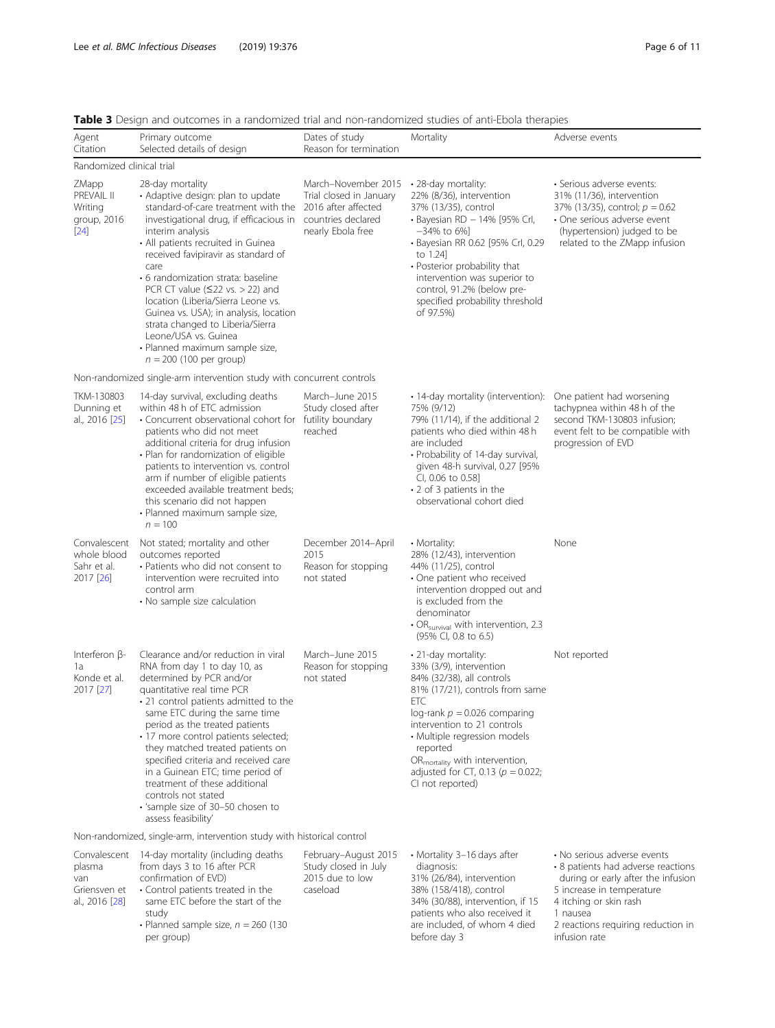| Agent<br>Citation                                               | Primary outcome<br>Selected details of design                                                                                                                                                                                                                                                                                                                                                                                                                                                                                                                                      | Dates of study<br>Reason for termination                                    | Mortality                                                                                                                                                                                                                                                                                                                                     | Adverse events                                                                                                                                                                            |
|-----------------------------------------------------------------|------------------------------------------------------------------------------------------------------------------------------------------------------------------------------------------------------------------------------------------------------------------------------------------------------------------------------------------------------------------------------------------------------------------------------------------------------------------------------------------------------------------------------------------------------------------------------------|-----------------------------------------------------------------------------|-----------------------------------------------------------------------------------------------------------------------------------------------------------------------------------------------------------------------------------------------------------------------------------------------------------------------------------------------|-------------------------------------------------------------------------------------------------------------------------------------------------------------------------------------------|
| Randomized clinical trial                                       |                                                                                                                                                                                                                                                                                                                                                                                                                                                                                                                                                                                    |                                                                             |                                                                                                                                                                                                                                                                                                                                               |                                                                                                                                                                                           |
| ZMapp<br>PREVAIL II<br>Writing<br>group, 2016<br>$[24]$         | 28-day mortality<br>• Adaptive design: plan to update<br>standard-of-care treatment with the 2016 after affected<br>investigational drug, if efficacious in countries declared<br>interim analysis<br>• All patients recruited in Guinea<br>received favipiravir as standard of<br>care<br>• 6 randomization strata: baseline<br>PCR CT value ( $\leq$ 22 vs. > 22) and<br>location (Liberia/Sierra Leone vs.<br>Guinea vs. USA); in analysis, location<br>strata changed to Liberia/Sierra<br>Leone/USA vs. Guinea<br>· Planned maximum sample size,<br>$n = 200$ (100 per group) | March-November 2015<br>Trial closed in January<br>nearly Ebola free         | • 28-day mortality:<br>22% (8/36), intervention<br>37% (13/35), control<br>· Bayesian RD - 14% [95% Crl,<br>$-34\%$ to 6%]<br>· Bayesian RR 0.62 [95% Crl, 0.29<br>to 1.241<br>• Posterior probability that<br>intervention was superior to<br>control, 91.2% (below pre-<br>specified probability threshold<br>of 97.5%)                     | · Serious adverse events:<br>31% (11/36), intervention<br>37% (13/35), control; $p = 0.62$<br>• One serious adverse event<br>(hypertension) judged to be<br>related to the ZMapp infusion |
|                                                                 | Non-randomized single-arm intervention study with concurrent controls                                                                                                                                                                                                                                                                                                                                                                                                                                                                                                              |                                                                             |                                                                                                                                                                                                                                                                                                                                               |                                                                                                                                                                                           |
| TKM-130803<br>Dunning et<br>al., 2016 [25]                      | 14-day survival, excluding deaths<br>within 48 h of ETC admission<br>• Concurrent observational cohort for futility boundary<br>patients who did not meet<br>additional criteria for drug infusion<br>• Plan for randomization of eligible<br>patients to intervention vs. control<br>arm if number of eligible patients<br>exceeded available treatment beds;<br>this scenario did not happen<br>· Planned maximum sample size,<br>$n = 100$                                                                                                                                      | March-June 2015<br>Study closed after<br>reached                            | • 14-day mortality (intervention):<br>75% (9/12)<br>79% (11/14), if the additional 2<br>patients who died within 48 h<br>are included<br>• Probability of 14-day survival,<br>given 48-h survival, 0.27 [95%<br>CI, 0.06 to 0.58]<br>• 2 of 3 patients in the<br>observational cohort died                                                    | One patient had worsening<br>tachypnea within 48 h of the<br>second TKM-130803 infusion;<br>event felt to be compatible with<br>progression of EVD                                        |
| Convalescent<br>whole blood<br>Sahr et al.<br>2017 [26]         | Not stated; mortality and other<br>outcomes reported<br>• Patients who did not consent to<br>intervention were recruited into<br>control arm<br>• No sample size calculation                                                                                                                                                                                                                                                                                                                                                                                                       | December 2014-April<br>2015<br>Reason for stopping<br>not stated            | • Mortality:<br>28% (12/43), intervention<br>44% (11/25), control<br>• One patient who received<br>intervention dropped out and<br>is excluded from the<br>denominator<br>$\cdot$ OR <sub>survival</sub> with intervention, 2.3<br>(95% CI, 0.8 to 6.5)                                                                                       | None                                                                                                                                                                                      |
| Interferon $\beta$ -<br>1a<br>Konde et al.<br>2017 [27]         | Clearance and/or reduction in viral<br>RNA from day 1 to day 10, as<br>determined by PCR and/or<br>quantitative real time PCR<br>• 21 control patients admitted to the<br>same ETC during the same time<br>period as the treated patients<br>· 17 more control patients selected;<br>they matched treated patients on<br>specified criteria and received care<br>in a Guinean ETC; time period of<br>treatment of these additional<br>controls not stated<br>· 'sample size of 30-50 chosen to<br>assess feasibility'                                                              | March-June 2015<br>Reason for stopping<br>not stated                        | • 21-day mortality:<br>33% (3/9), intervention<br>84% (32/38), all controls<br>81% (17/21), controls from same<br>ETC<br>log-rank $p = 0.026$ comparing<br>intervention to 21 controls<br>· Multiple regression models<br>reported<br>OR <sub>mortality</sub> with intervention,<br>adjusted for CT, 0.13 ( $p = 0.022$ ;<br>CI not reported) | Not reported                                                                                                                                                                              |
|                                                                 | Non-randomized, single-arm, intervention study with historical control                                                                                                                                                                                                                                                                                                                                                                                                                                                                                                             |                                                                             |                                                                                                                                                                                                                                                                                                                                               |                                                                                                                                                                                           |
| Convalescent<br>plasma<br>van<br>Griensven et<br>al., 2016 [28] | 14-day mortality (including deaths<br>from days 3 to 16 after PCR<br>confirmation of EVD)<br>• Control patients treated in the<br>same ETC before the start of the                                                                                                                                                                                                                                                                                                                                                                                                                 | February-August 2015<br>Study closed in July<br>2015 due to low<br>caseload | • Mortality 3–16 days after<br>diagnosis:<br>31% (26/84), intervention<br>38% (158/418), control<br>34% (30/88), intervention, if 15                                                                                                                                                                                                          | • No serious adverse events<br>• 8 patients had adverse reactions<br>during or early after the infusion<br>5 increase in temperature<br>4 itching or skin rash                            |

<span id="page-5-0"></span>

| <b>Table 3</b> Design and outcomes in a randomized trial and non-randomized studies of anti-Ebola therapies |  |  |  |  |
|-------------------------------------------------------------------------------------------------------------|--|--|--|--|
|-------------------------------------------------------------------------------------------------------------|--|--|--|--|

| 14-day mortality (including deaths<br>Convalescent<br>from days 3 to 16 after PCR<br>plasma<br>confirmation of EVD)<br>van<br>• Control patients treated in the<br>Griensven et<br>same ETC before the start of the<br>al., 2016 [28]<br>study<br>• Planned sample size, $n = 260$ (130<br>per group) | February-August 2015<br>Study closed in July<br>2015 due to low<br>caseload | • Mortality 3-16 days after<br>diagnosis:<br>31% (26/84), intervention<br>38% (158/418), control<br>34% (30/88), intervention, if 15<br>patients who also received it<br>are included, of whom 4 died<br>before day 3 | • No serious adverse events<br>• 8 patients had adverse reactions<br>during or early after the infusion<br>5 increase in temperature<br>4 itching or skin rash<br>1 nausea<br>2 reactions requiring reduction in<br>infusion rate |
|-------------------------------------------------------------------------------------------------------------------------------------------------------------------------------------------------------------------------------------------------------------------------------------------------------|-----------------------------------------------------------------------------|-----------------------------------------------------------------------------------------------------------------------------------------------------------------------------------------------------------------------|-----------------------------------------------------------------------------------------------------------------------------------------------------------------------------------------------------------------------------------|
|-------------------------------------------------------------------------------------------------------------------------------------------------------------------------------------------------------------------------------------------------------------------------------------------------------|-----------------------------------------------------------------------------|-----------------------------------------------------------------------------------------------------------------------------------------------------------------------------------------------------------------------|-----------------------------------------------------------------------------------------------------------------------------------------------------------------------------------------------------------------------------------|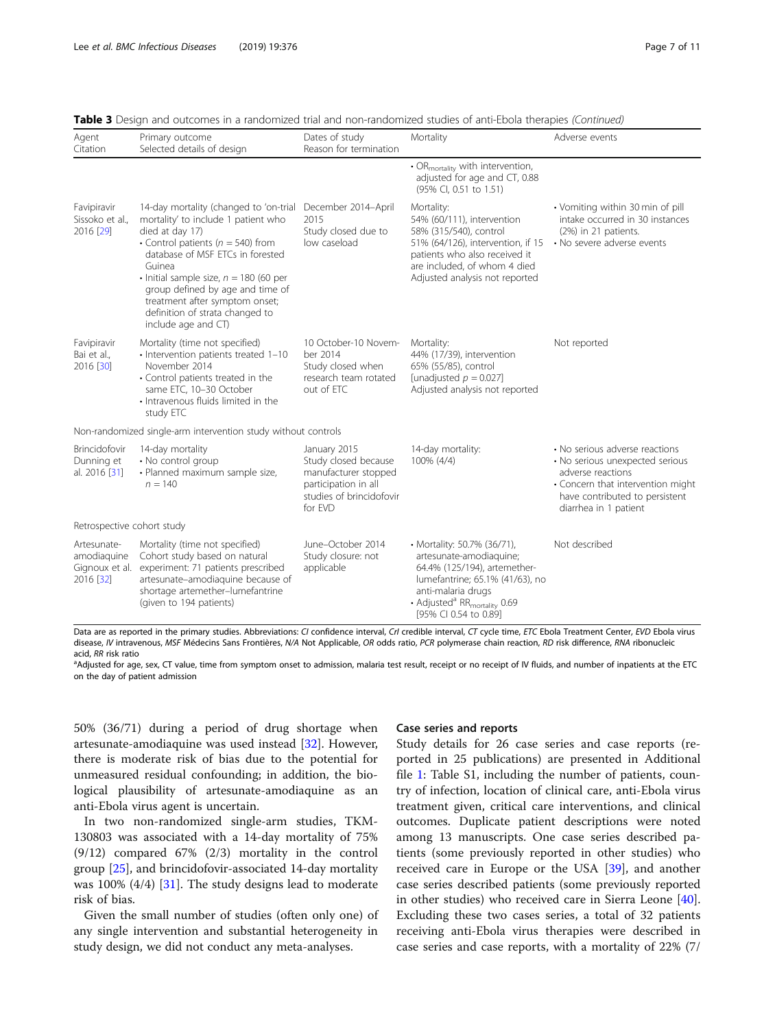| Agent<br>Citation                                         | Primary outcome<br>Selected details of design                                                                                                                                                                                                                                                                                                                             | Dates of study<br>Reason for termination                                                                                    | Mortality                                                                                                                                                                                                                        | Adverse events                                                                                                                                                                         |  |  |  |
|-----------------------------------------------------------|---------------------------------------------------------------------------------------------------------------------------------------------------------------------------------------------------------------------------------------------------------------------------------------------------------------------------------------------------------------------------|-----------------------------------------------------------------------------------------------------------------------------|----------------------------------------------------------------------------------------------------------------------------------------------------------------------------------------------------------------------------------|----------------------------------------------------------------------------------------------------------------------------------------------------------------------------------------|--|--|--|
|                                                           |                                                                                                                                                                                                                                                                                                                                                                           |                                                                                                                             | • OR <sub>mortality</sub> with intervention,<br>adjusted for age and CT, 0.88<br>(95% CI, 0.51 to 1.51)                                                                                                                          |                                                                                                                                                                                        |  |  |  |
| Favipiravir<br>Sissoko et al.,<br>2016 [29]               | 14-day mortality (changed to 'on-trial<br>mortality' to include 1 patient who<br>died at day 17)<br>• Control patients ( $n = 540$ ) from<br>database of MSF ETCs in forested<br>Guinea<br>$\cdot$ Initial sample size, $n = 180$ (60 per<br>group defined by age and time of<br>treatment after symptom onset;<br>definition of strata changed to<br>include age and CT) | December 2014-April<br>2015<br>Study closed due to<br>low caseload                                                          | Mortality:<br>54% (60/111), intervention<br>58% (315/540), control<br>51% (64/126), intervention, if 15<br>patients who also received it<br>are included, of whom 4 died<br>Adjusted analysis not reported                       | • Vomiting within 30 min of pill<br>intake occurred in 30 instances<br>(2%) in 21 patients.<br>• No severe adverse events                                                              |  |  |  |
| Favipiravir<br>Bai et al.,<br>2016 [30]                   | Mortality (time not specified)<br>· Intervention patients treated 1-10<br>November 2014<br>• Control patients treated in the<br>same ETC, 10-30 October<br>· Intravenous fluids limited in the<br>study ETC                                                                                                                                                               | 10 October-10 Novem-<br>ber 2014<br>Study closed when<br>research team rotated<br>out of ETC                                | Mortality:<br>44% (17/39), intervention<br>65% (55/85), control<br>[unadjusted $p = 0.027$ ]<br>Adjusted analysis not reported                                                                                                   | Not reported                                                                                                                                                                           |  |  |  |
|                                                           | Non-randomized single-arm intervention study without controls                                                                                                                                                                                                                                                                                                             |                                                                                                                             |                                                                                                                                                                                                                                  |                                                                                                                                                                                        |  |  |  |
| Brincidofovir<br>Dunning et<br>al. 2016 [31]              | 14-day mortality<br>• No control group<br>· Planned maximum sample size,<br>$n = 140$                                                                                                                                                                                                                                                                                     | January 2015<br>Study closed because<br>manufacturer stopped<br>participation in all<br>studies of brincidofovir<br>for EVD | 14-day mortality:<br>100% (4/4)                                                                                                                                                                                                  | • No serious adverse reactions<br>• No serious unexpected serious<br>adverse reactions<br>• Concern that intervention might<br>have contributed to persistent<br>diarrhea in 1 patient |  |  |  |
| Retrospective cohort study                                |                                                                                                                                                                                                                                                                                                                                                                           |                                                                                                                             |                                                                                                                                                                                                                                  |                                                                                                                                                                                        |  |  |  |
| Artesunate-<br>amodiaguine<br>Gignoux et al.<br>2016 [32] | Mortality (time not specified)<br>Cohort study based on natural<br>experiment: 71 patients prescribed<br>artesunate-amodiaguine because of<br>shortage artemether-lumefantrine<br>(given to 194 patients)                                                                                                                                                                 | June-October 2014<br>Study closure: not<br>applicable                                                                       | • Mortality: 50.7% (36/71),<br>artesunate-amodiaguine;<br>64.4% (125/194), artemether-<br>lumefantrine; 65.1% (41/63), no<br>anti-malaria drugs<br>• Adjusted <sup>a</sup> RR <sub>mortality</sub> 0.69<br>[95% CI 0.54 to 0.89] | Not described                                                                                                                                                                          |  |  |  |

Table 3 Design and outcomes in a randomized trial and non-randomized studies of anti-Ebola therapies (Continued)

Data are as reported in the primary studies. Abbreviations: CI confidence interval, CII credible interval, CT cycle time, ETC Ebola Treatment Center, EVD Ebola virus disease, IV intravenous, MSF Médecins Sans Frontières, N/A Not Applicable, OR odds ratio, PCR polymerase chain reaction, RD risk difference, RNA ribonucleic acid, RR risk ratio

<sup>a</sup>Adjusted for age, sex, CT value, time from symptom onset to admission, malaria test result, receipt or no receipt of IV fluids, and number of inpatients at the ETC on the day of patient admission

50% (36/71) during a period of drug shortage when artesunate-amodiaquine was used instead [\[32\]](#page-9-0). However, there is moderate risk of bias due to the potential for unmeasured residual confounding; in addition, the biological plausibility of artesunate-amodiaquine as an anti-Ebola virus agent is uncertain.

In two non-randomized single-arm studies, TKM-130803 was associated with a 14-day mortality of 75% (9/12) compared 67% (2/3) mortality in the control group [[25\]](#page-9-0), and brincidofovir-associated 14-day mortality was 100% (4/4) [[31](#page-9-0)]. The study designs lead to moderate risk of bias.

Given the small number of studies (often only one) of any single intervention and substantial heterogeneity in study design, we did not conduct any meta-analyses.

# Case series and reports

Study details for 26 case series and case reports (reported in 25 publications) are presented in Additional file [1](#page-8-0): Table S1, including the number of patients, country of infection, location of clinical care, anti-Ebola virus treatment given, critical care interventions, and clinical outcomes. Duplicate patient descriptions were noted among 13 manuscripts. One case series described patients (some previously reported in other studies) who received care in Europe or the USA [[39\]](#page-9-0), and another case series described patients (some previously reported in other studies) who received care in Sierra Leone [\[40](#page-9-0)]. Excluding these two cases series, a total of 32 patients receiving anti-Ebola virus therapies were described in case series and case reports, with a mortality of 22% (7/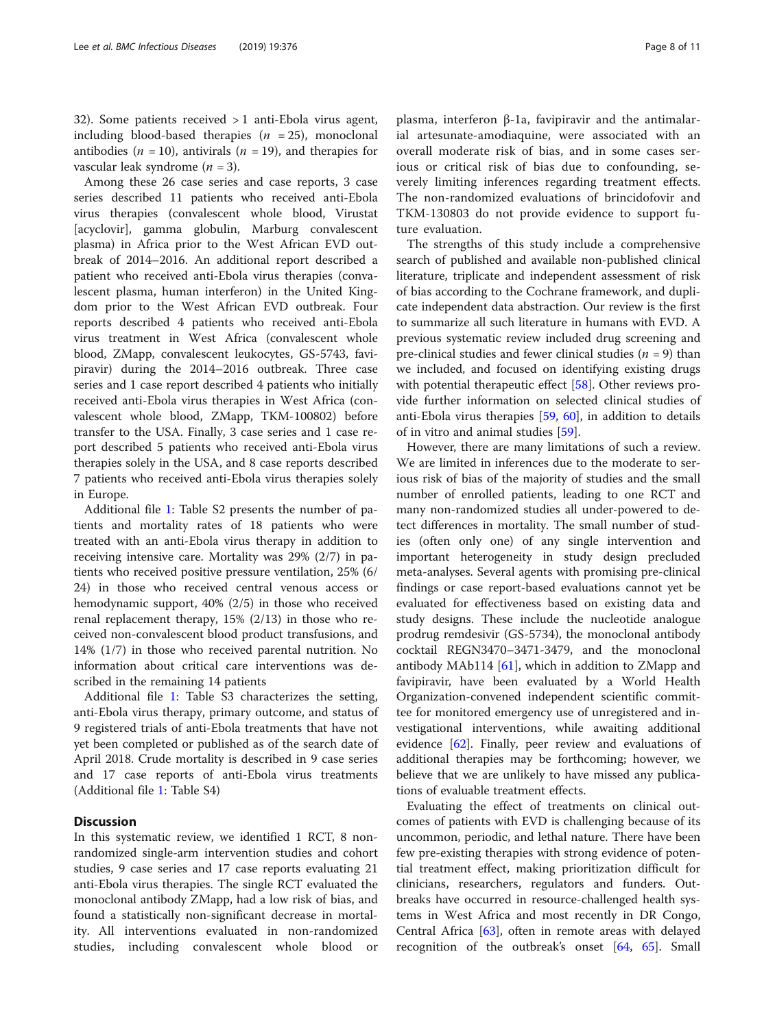32). Some patients received > 1 anti-Ebola virus agent, including blood-based therapies  $(n = 25)$ , monoclonal antibodies ( $n = 10$ ), antivirals ( $n = 19$ ), and therapies for vascular leak syndrome  $(n = 3)$ .

Among these 26 case series and case reports, 3 case series described 11 patients who received anti-Ebola virus therapies (convalescent whole blood, Virustat [acyclovir], gamma globulin, Marburg convalescent plasma) in Africa prior to the West African EVD outbreak of 2014–2016. An additional report described a patient who received anti-Ebola virus therapies (convalescent plasma, human interferon) in the United Kingdom prior to the West African EVD outbreak. Four reports described 4 patients who received anti-Ebola virus treatment in West Africa (convalescent whole blood, ZMapp, convalescent leukocytes, GS-5743, favipiravir) during the 2014–2016 outbreak. Three case series and 1 case report described 4 patients who initially received anti-Ebola virus therapies in West Africa (convalescent whole blood, ZMapp, TKM-100802) before transfer to the USA. Finally, 3 case series and 1 case report described 5 patients who received anti-Ebola virus therapies solely in the USA, and 8 case reports described 7 patients who received anti-Ebola virus therapies solely in Europe.

Additional file [1](#page-8-0): Table S2 presents the number of patients and mortality rates of 18 patients who were treated with an anti-Ebola virus therapy in addition to receiving intensive care. Mortality was 29% (2/7) in patients who received positive pressure ventilation, 25% (6/ 24) in those who received central venous access or hemodynamic support, 40% (2/5) in those who received renal replacement therapy, 15% (2/13) in those who received non-convalescent blood product transfusions, and 14% (1/7) in those who received parental nutrition. No information about critical care interventions was described in the remaining 14 patients

Additional file [1](#page-8-0): Table S3 characterizes the setting, anti-Ebola virus therapy, primary outcome, and status of 9 registered trials of anti-Ebola treatments that have not yet been completed or published as of the search date of April 2018. Crude mortality is described in 9 case series and 17 case reports of anti-Ebola virus treatments (Additional file [1](#page-8-0): Table S4)

# **Discussion**

In this systematic review, we identified 1 RCT, 8 nonrandomized single-arm intervention studies and cohort studies, 9 case series and 17 case reports evaluating 21 anti-Ebola virus therapies. The single RCT evaluated the monoclonal antibody ZMapp, had a low risk of bias, and found a statistically non-significant decrease in mortality. All interventions evaluated in non-randomized studies, including convalescent whole blood or plasma, interferon β-1a, favipiravir and the antimalarial artesunate-amodiaquine, were associated with an overall moderate risk of bias, and in some cases serious or critical risk of bias due to confounding, severely limiting inferences regarding treatment effects. The non-randomized evaluations of brincidofovir and TKM-130803 do not provide evidence to support future evaluation.

The strengths of this study include a comprehensive search of published and available non-published clinical literature, triplicate and independent assessment of risk of bias according to the Cochrane framework, and duplicate independent data abstraction. Our review is the first to summarize all such literature in humans with EVD. A previous systematic review included drug screening and pre-clinical studies and fewer clinical studies ( $n = 9$ ) than we included, and focused on identifying existing drugs with potential therapeutic effect [\[58](#page-10-0)]. Other reviews provide further information on selected clinical studies of anti-Ebola virus therapies [\[59](#page-10-0), [60\]](#page-10-0), in addition to details of in vitro and animal studies [\[59](#page-10-0)].

However, there are many limitations of such a review. We are limited in inferences due to the moderate to serious risk of bias of the majority of studies and the small number of enrolled patients, leading to one RCT and many non-randomized studies all under-powered to detect differences in mortality. The small number of studies (often only one) of any single intervention and important heterogeneity in study design precluded meta-analyses. Several agents with promising pre-clinical findings or case report-based evaluations cannot yet be evaluated for effectiveness based on existing data and study designs. These include the nucleotide analogue prodrug remdesivir (GS-5734), the monoclonal antibody cocktail REGN3470–3471-3479, and the monoclonal antibody MAb114 [\[61](#page-10-0)], which in addition to ZMapp and favipiravir, have been evaluated by a World Health Organization-convened independent scientific committee for monitored emergency use of unregistered and investigational interventions, while awaiting additional evidence [[62\]](#page-10-0). Finally, peer review and evaluations of additional therapies may be forthcoming; however, we believe that we are unlikely to have missed any publications of evaluable treatment effects.

Evaluating the effect of treatments on clinical outcomes of patients with EVD is challenging because of its uncommon, periodic, and lethal nature. There have been few pre-existing therapies with strong evidence of potential treatment effect, making prioritization difficult for clinicians, researchers, regulators and funders. Outbreaks have occurred in resource-challenged health systems in West Africa and most recently in DR Congo, Central Africa [\[63](#page-10-0)], often in remote areas with delayed recognition of the outbreak's onset [\[64](#page-10-0), [65](#page-10-0)]. Small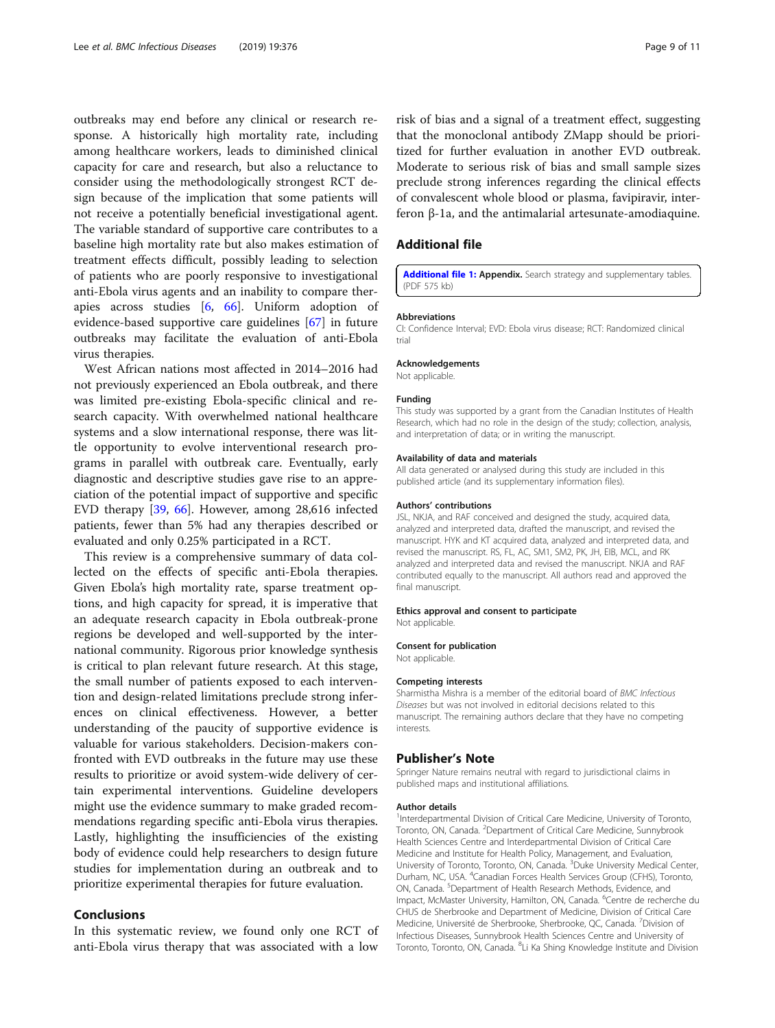<span id="page-8-0"></span>outbreaks may end before any clinical or research response. A historically high mortality rate, including among healthcare workers, leads to diminished clinical capacity for care and research, but also a reluctance to consider using the methodologically strongest RCT design because of the implication that some patients will not receive a potentially beneficial investigational agent. The variable standard of supportive care contributes to a baseline high mortality rate but also makes estimation of treatment effects difficult, possibly leading to selection of patients who are poorly responsive to investigational anti-Ebola virus agents and an inability to compare therapies across studies [\[6](#page-9-0), [66](#page-10-0)]. Uniform adoption of evidence-based supportive care guidelines [\[67](#page-10-0)] in future outbreaks may facilitate the evaluation of anti-Ebola virus therapies.

West African nations most affected in 2014–2016 had not previously experienced an Ebola outbreak, and there was limited pre-existing Ebola-specific clinical and research capacity. With overwhelmed national healthcare systems and a slow international response, there was little opportunity to evolve interventional research programs in parallel with outbreak care. Eventually, early diagnostic and descriptive studies gave rise to an appreciation of the potential impact of supportive and specific EVD therapy [\[39,](#page-9-0) [66\]](#page-10-0). However, among 28,616 infected patients, fewer than 5% had any therapies described or evaluated and only 0.25% participated in a RCT.

This review is a comprehensive summary of data collected on the effects of specific anti-Ebola therapies. Given Ebola's high mortality rate, sparse treatment options, and high capacity for spread, it is imperative that an adequate research capacity in Ebola outbreak-prone regions be developed and well-supported by the international community. Rigorous prior knowledge synthesis is critical to plan relevant future research. At this stage, the small number of patients exposed to each intervention and design-related limitations preclude strong inferences on clinical effectiveness. However, a better understanding of the paucity of supportive evidence is valuable for various stakeholders. Decision-makers confronted with EVD outbreaks in the future may use these results to prioritize or avoid system-wide delivery of certain experimental interventions. Guideline developers might use the evidence summary to make graded recommendations regarding specific anti-Ebola virus therapies. Lastly, highlighting the insufficiencies of the existing body of evidence could help researchers to design future studies for implementation during an outbreak and to prioritize experimental therapies for future evaluation.

# Conclusions

In this systematic review, we found only one RCT of anti-Ebola virus therapy that was associated with a low

risk of bias and a signal of a treatment effect, suggesting that the monoclonal antibody ZMapp should be prioritized for further evaluation in another EVD outbreak. Moderate to serious risk of bias and small sample sizes preclude strong inferences regarding the clinical effects of convalescent whole blood or plasma, favipiravir, interferon β-1a, and the antimalarial artesunate-amodiaquine.

## Additional file

[Additional file 1:](https://doi.org/10.1186/s12879-019-3980-9) Appendix. Search strategy and supplementary tables. (PDF 575 kb)

#### Abbreviations

CI: Confidence Interval; EVD: Ebola virus disease; RCT: Randomized clinical trial

#### Acknowledgements

Not applicable.

#### Funding

This study was supported by a grant from the Canadian Institutes of Health Research, which had no role in the design of the study; collection, analysis, and interpretation of data; or in writing the manuscript.

#### Availability of data and materials

All data generated or analysed during this study are included in this published article (and its supplementary information files).

#### Authors' contributions

JSL, NKJA, and RAF conceived and designed the study, acquired data, analyzed and interpreted data, drafted the manuscript, and revised the manuscript. HYK and KT acquired data, analyzed and interpreted data, and revised the manuscript. RS, FL, AC, SM1, SM2, PK, JH, EIB, MCL, and RK analyzed and interpreted data and revised the manuscript. NKJA and RAF contributed equally to the manuscript. All authors read and approved the final manuscript.

#### Ethics approval and consent to participate

Not applicable.

#### Consent for publication

Not applicable.

#### Competing interests

Sharmistha Mishra is a member of the editorial board of BMC Infectious Diseases but was not involved in editorial decisions related to this manuscript. The remaining authors declare that they have no competing interests.

#### Publisher's Note

Springer Nature remains neutral with regard to jurisdictional claims in published maps and institutional affiliations.

#### Author details

<sup>1</sup>Interdepartmental Division of Critical Care Medicine, University of Toronto Toronto, ON, Canada. <sup>2</sup>Department of Critical Care Medicine, Sunnybrook Health Sciences Centre and Interdepartmental Division of Critical Care Medicine and Institute for Health Policy, Management, and Evaluation, University of Toronto, Toronto, ON, Canada. <sup>3</sup>Duke University Medical Center Durham, NC, USA. <sup>4</sup>Canadian Forces Health Services Group (CFHS), Toronto ON, Canada. <sup>5</sup>Department of Health Research Methods, Evidence, and Impact, McMaster University, Hamilton, ON, Canada. <sup>6</sup>Centre de recherche du CHUS de Sherbrooke and Department of Medicine, Division of Critical Care Medicine, Université de Sherbrooke, Sherbrooke, QC, Canada. <sup>7</sup>Division of Infectious Diseases, Sunnybrook Health Sciences Centre and University of Toronto, Toronto, ON, Canada. <sup>8</sup>Li Ka Shing Knowledge Institute and Division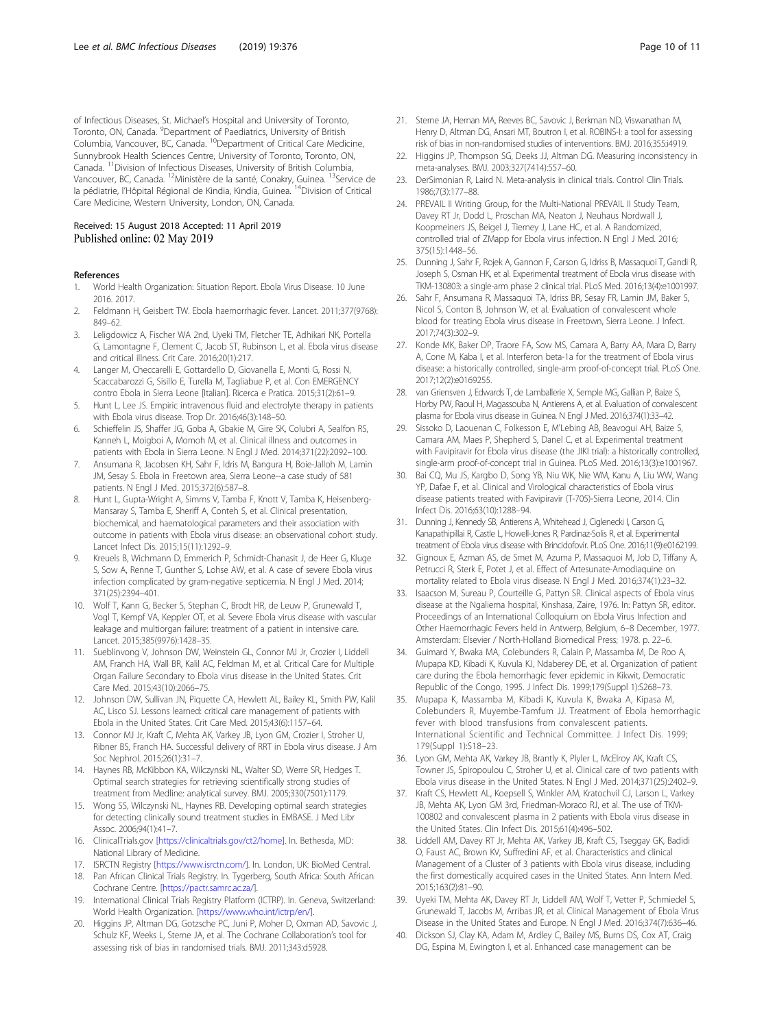<span id="page-9-0"></span>of Infectious Diseases, St. Michael's Hospital and University of Toronto, Toronto, ON, Canada. <sup>9</sup>Department of Paediatrics, University of British Columbia, Vancouver, BC, Canada. 10Department of Critical Care Medicine, Sunnybrook Health Sciences Centre, University of Toronto, Toronto, ON, Canada. 11Division of Infectious Diseases, University of British Columbia, Vancouver, BC, Canada. 12Ministère de la santé, Conakry, Guinea. 13Service de la pédiatrie, l'Hôpital Régional de Kindia, Kindia, Guinea. <sup>14</sup>Division of Critical Care Medicine, Western University, London, ON, Canada.

# Received: 15 August 2018 Accepted: 11 April 2019 Published online: 02 May 2019

#### References

- 1. World Health Organization: Situation Report. Ebola Virus Disease. 10 June 2016. 2017.
- 2. Feldmann H, Geisbert TW. Ebola haemorrhagic fever. Lancet. 2011;377(9768): 849–62.
- 3. Leligdowicz A, Fischer WA 2nd, Uyeki TM, Fletcher TE, Adhikari NK, Portella G, Lamontagne F, Clement C, Jacob ST, Rubinson L, et al. Ebola virus disease and critical illness. Crit Care. 2016;20(1):217.
- 4. Langer M, Checcarelli E, Gottardello D, Giovanella E, Monti G, Rossi N, Scaccabarozzi G, Sisillo E, Turella M, Tagliabue P, et al. Con EMERGENCY contro Ebola in Sierra Leone [Italian]. Ricerca e Pratica. 2015;31(2):61–9.
- 5. Hunt L, Lee JS. Empiric intravenous fluid and electrolyte therapy in patients with Ebola virus disease. Trop Dr. 2016;46(3):148–50.
- 6. Schieffelin JS, Shaffer JG, Goba A, Gbakie M, Gire SK, Colubri A, Sealfon RS, Kanneh L, Moigboi A, Momoh M, et al. Clinical illness and outcomes in patients with Ebola in Sierra Leone. N Engl J Med. 2014;371(22):2092–100.
- 7. Ansumana R, Jacobsen KH, Sahr F, Idris M, Bangura H, Boie-Jalloh M, Lamin JM, Sesay S. Ebola in Freetown area, Sierra Leone--a case study of 581 patients. N Engl J Med. 2015;372(6):587–8.
- Hunt L, Gupta-Wright A, Simms V, Tamba F, Knott V, Tamba K, Heisenberg-Mansaray S, Tamba E, Sheriff A, Conteh S, et al. Clinical presentation, biochemical, and haematological parameters and their association with outcome in patients with Ebola virus disease: an observational cohort study. Lancet Infect Dis. 2015;15(11):1292–9.
- 9. Kreuels B, Wichmann D, Emmerich P, Schmidt-Chanasit J, de Heer G, Kluge S, Sow A, Renne T, Gunther S, Lohse AW, et al. A case of severe Ebola virus infection complicated by gram-negative septicemia. N Engl J Med. 2014; 371(25):2394–401.
- 10. Wolf T, Kann G, Becker S, Stephan C, Brodt HR, de Leuw P, Grunewald T, Vogl T, Kempf VA, Keppler OT, et al. Severe Ebola virus disease with vascular leakage and multiorgan failure: treatment of a patient in intensive care. Lancet. 2015;385(9976):1428–35.
- 11. Sueblinvong V, Johnson DW, Weinstein GL, Connor MJ Jr, Crozier I, Liddell AM, Franch HA, Wall BR, Kalil AC, Feldman M, et al. Critical Care for Multiple Organ Failure Secondary to Ebola virus disease in the United States. Crit Care Med. 2015;43(10):2066–75.
- 12. Johnson DW, Sullivan JN, Piquette CA, Hewlett AL, Bailey KL, Smith PW, Kalil AC, Lisco SJ. Lessons learned: critical care management of patients with Ebola in the United States. Crit Care Med. 2015;43(6):1157–64.
- 13. Connor MJ Jr, Kraft C, Mehta AK, Varkey JB, Lyon GM, Crozier I, Stroher U, Ribner BS, Franch HA. Successful delivery of RRT in Ebola virus disease. J Am Soc Nephrol. 2015;26(1):31–7.
- 14. Haynes RB, McKibbon KA, Wilczynski NL, Walter SD, Werre SR, Hedges T. Optimal search strategies for retrieving scientifically strong studies of treatment from Medline: analytical survey. BMJ. 2005;330(7501):1179.
- 15. Wong SS, Wilczynski NL, Haynes RB. Developing optimal search strategies for detecting clinically sound treatment studies in EMBASE. J Med Libr Assoc. 2006;94(1):41–7.
- 16. ClinicalTrials.gov [[https://clinicaltrials.gov/ct2/home\]](https://clinicaltrials.gov/ct2/home). In. Bethesda, MD: National Library of Medicine.
- 17. ISRCTN Registry [\[https://www.isrctn.com/\]](https://www.isrctn.com/). In. London, UK: BioMed Central.
- 18. Pan African Clinical Trials Registry. In. Tygerberg, South Africa: South African Cochrane Centre. [<https://pactr.samrc.ac.za/>].
- 19. International Clinical Trials Registry Platform (ICTRP). In. Geneva, Switzerland: World Health Organization. [[https://www.who.int/ictrp/en/\]](https://www.who.int/ictrp/en/).
- 20. Higgins JP, Altman DG, Gotzsche PC, Juni P, Moher D, Oxman AD, Savovic J, Schulz KF, Weeks L, Sterne JA, et al. The Cochrane Collaboration's tool for assessing risk of bias in randomised trials. BMJ. 2011;343:d5928.
- 21. Sterne JA, Hernan MA, Reeves BC, Savovic J, Berkman ND, Viswanathan M, Henry D, Altman DG, Ansari MT, Boutron I, et al. ROBINS-I: a tool for assessing risk of bias in non-randomised studies of interventions. BMJ. 2016;355:i4919.
- 22. Higgins JP, Thompson SG, Deeks JJ, Altman DG. Measuring inconsistency in meta-analyses. BMJ. 2003;327(7414):557–60.
- 23. DerSimonian R, Laird N. Meta-analysis in clinical trials. Control Clin Trials. 1986;7(3):177–88.
- 24. PREVAIL II Writing Group, for the Multi-National PREVAIL II Study Team, Davey RT Jr, Dodd L, Proschan MA, Neaton J, Neuhaus Nordwall J, Koopmeiners JS, Beigel J, Tierney J, Lane HC, et al. A Randomized, controlled trial of ZMapp for Ebola virus infection. N Engl J Med. 2016; 375(15):1448–56.
- 25. Dunning J, Sahr F, Rojek A, Gannon F, Carson G, Idriss B, Massaquoi T, Gandi R, Joseph S, Osman HK, et al. Experimental treatment of Ebola virus disease with TKM-130803: a single-arm phase 2 clinical trial. PLoS Med. 2016;13(4):e1001997.
- 26. Sahr F, Ansumana R, Massaquoi TA, Idriss BR, Sesay FR, Lamin JM, Baker S, Nicol S, Conton B, Johnson W, et al. Evaluation of convalescent whole blood for treating Ebola virus disease in Freetown, Sierra Leone. J Infect. 2017;74(3):302–9.
- 27. Konde MK, Baker DP, Traore FA, Sow MS, Camara A, Barry AA, Mara D, Barry A, Cone M, Kaba I, et al. Interferon beta-1a for the treatment of Ebola virus disease: a historically controlled, single-arm proof-of-concept trial. PLoS One. 2017;12(2):e0169255.
- 28. van Griensven J, Edwards T, de Lamballerie X, Semple MG, Gallian P, Baize S, Horby PW, Raoul H, Magassouba N, Antierens A, et al. Evaluation of convalescent plasma for Ebola virus disease in Guinea. N Engl J Med. 2016;374(1):33–42.
- 29. Sissoko D, Laouenan C, Folkesson E, M'Lebing AB, Beavogui AH, Baize S, Camara AM, Maes P, Shepherd S, Danel C, et al. Experimental treatment with Favipiravir for Ebola virus disease (the JIKI trial): a historically controlled, single-arm proof-of-concept trial in Guinea. PLoS Med. 2016;13(3):e1001967.
- 30. Bai CQ, Mu JS, Kargbo D, Song YB, Niu WK, Nie WM, Kanu A, Liu WW, Wang YP, Dafae F, et al. Clinical and Virological characteristics of Ebola virus disease patients treated with Favipiravir (T-705)-Sierra Leone, 2014. Clin Infect Dis. 2016;63(10):1288–94.
- 31. Dunning J, Kennedy SB, Antierens A, Whitehead J, Ciglenecki I, Carson G, Kanapathipillai R, Castle L, Howell-Jones R, Pardinaz-Solis R, et al. Experimental treatment of Ebola virus disease with Brincidofovir. PLoS One. 2016;11(9):e0162199.
- 32. Gignoux E, Azman AS, de Smet M, Azuma P, Massaquoi M, Job D, Tiffany A, Petrucci R, Sterk E, Potet J, et al. Effect of Artesunate-Amodiaquine on mortality related to Ebola virus disease. N Engl J Med. 2016;374(1):23–32.
- 33. Isaacson M, Sureau P, Courteille G, Pattyn SR. Clinical aspects of Ebola virus disease at the Ngaliema hospital, Kinshasa, Zaire, 1976. In: Pattyn SR, editor. Proceedings of an International Colloquium on Ebola Virus Infection and Other Haemorrhagic Fevers held in Antwerp, Belgium, 6–8 December, 1977. Amsterdam: Elsevier / North-Holland Biomedical Press; 1978. p. 22–6.
- 34. Guimard Y, Bwaka MA, Colebunders R, Calain P, Massamba M, De Roo A, Mupapa KD, Kibadi K, Kuvula KJ, Ndaberey DE, et al. Organization of patient care during the Ebola hemorrhagic fever epidemic in Kikwit, Democratic Republic of the Congo, 1995. J Infect Dis. 1999;179(Suppl 1):S268–73.
- 35. Mupapa K, Massamba M, Kibadi K, Kuvula K, Bwaka A, Kipasa M, Colebunders R, Muyembe-Tamfum JJ. Treatment of Ebola hemorrhagic fever with blood transfusions from convalescent patients. International Scientific and Technical Committee. J Infect Dis. 1999; 179(Suppl 1):S18–23.
- 36. Lyon GM, Mehta AK, Varkey JB, Brantly K, Plyler L, McElroy AK, Kraft CS, Towner JS, Spiropoulou C, Stroher U, et al. Clinical care of two patients with Ebola virus disease in the United States. N Engl J Med. 2014;371(25):2402–9.
- 37. Kraft CS, Hewlett AL, Koepsell S, Winkler AM, Kratochvil CJ, Larson L, Varkey JB, Mehta AK, Lyon GM 3rd, Friedman-Moraco RJ, et al. The use of TKM-100802 and convalescent plasma in 2 patients with Ebola virus disease in the United States. Clin Infect Dis. 2015;61(4):496–502.
- 38. Liddell AM, Davey RT Jr, Mehta AK, Varkey JB, Kraft CS, Tseggay GK, Badidi O, Faust AC, Brown KV, Suffredini AF, et al. Characteristics and clinical Management of a Cluster of 3 patients with Ebola virus disease, including the first domestically acquired cases in the United States. Ann Intern Med. 2015;163(2):81–90.
- 39. Uyeki TM, Mehta AK, Davey RT Jr, Liddell AM, Wolf T, Vetter P, Schmiedel S, Grunewald T, Jacobs M, Arribas JR, et al. Clinical Management of Ebola Virus Disease in the United States and Europe. N Engl J Med. 2016;374(7):636–46.
- 40. Dickson SJ, Clay KA, Adam M, Ardley C, Bailey MS, Burns DS, Cox AT, Craig DG, Espina M, Ewington I, et al. Enhanced case management can be